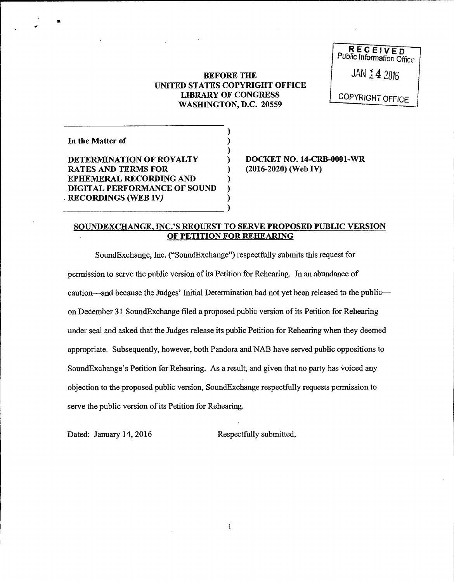## BEFORE THE UNITED STATES COPYRIGHT OFFICE LIBRARY OF CONGRESS WASHINGTON, D.C. 20559

)

)<br>)

RECEIVED<br>Public Information Office

 $14206$ 

COPYRIGHT OFFICE

| In the Matter of                                           |  |
|------------------------------------------------------------|--|
| DETERMINATION OF ROYALTY<br><b>RATES AND TERMS FOR</b>     |  |
| <b>EPHEMERAL RECORDING AND</b>                             |  |
| DIGITAL PERFORMANCE OF SOUND<br><b>RECORDINGS (WEB IV)</b> |  |
|                                                            |  |

DOCKET NO. 14-CRB-0001-WR (2016-2020) (Web IV)

## SOUNDEXCHANGE, INC.'S REQUEST TO SERVE PROPOSED PUBLIC VERSION OF PETITION FOR REHEARING

)

SoundExchange, Inc. ("SoundExchange") respectfully submits this request for permission to serve the public version ofits Petition for Rehearing. In an abundance of caution—and because the Judges' Initial Determination had not yet been released to the public on December 31 SoundExchange filed a proposed public version of its Petition for Rehearing under seal and asked that the Judges release its public Petition for Rehearing when they deemed appropriate. Subsequently, however, both Pandora and NAB have served public oppositions to SoundExchange's Petition for Rehearing. As a result, and given that no party has voiced any objection to the proposed public version, SoundExchange respectfully requests permission to serve the public version of its Petition for Rehearing.

Dated: January 14, 2016 Respectfully submitted,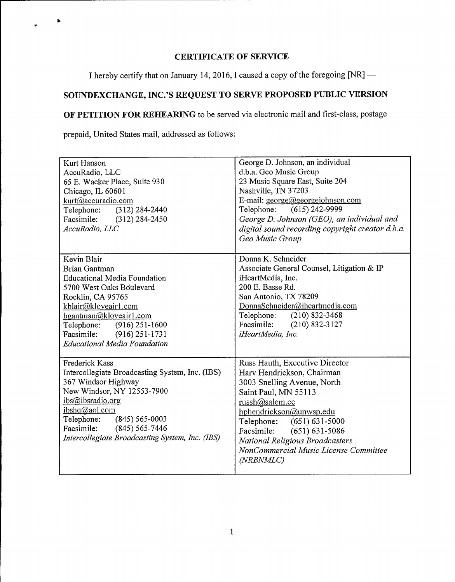# CERTIFICATE OF SERVICE

I hereby certify that on January 14, 2016, I caused a copy of the foregoing [NR] —

# SOUNDEXCHANGE, INC.'S REQUEST TO SERVE PROPOSED PUBLIC VERSION

OF PETITION FOR REHEARING to be served via electronic mail and first-class, postage

prepaid, United States mail, addressed as follows:

| Kurt Hanson<br>AccuRadio, LLC<br>65 E. Wacker Place, Suite 930<br>Chicago, IL 60601<br>kurt@accuradio.com<br>Telephone: (312) 284-2440<br>Facsimile: (312) 284-2450<br>AccuRadio, LLC                                                                                               | George D. Johnson, an individual<br>d.b.a. Geo Music Group<br>23 Music Square East, Suite 204<br>Nashville, TN 37203<br>E-mail: george@georgejohnson.com<br>Telephone: (615) 242-9999<br>George D. Johnson (GEO), an individual and<br>digital sound recording copyright creator d.b.a.<br>Geo Music Group          |
|-------------------------------------------------------------------------------------------------------------------------------------------------------------------------------------------------------------------------------------------------------------------------------------|---------------------------------------------------------------------------------------------------------------------------------------------------------------------------------------------------------------------------------------------------------------------------------------------------------------------|
| Kevin Blair<br><b>Brian Gantman</b><br><b>Educational Media Foundation</b><br>5700 West Oaks Boulevard<br>Rocklin, CA 95765<br>kblair@kloveair1.com<br>bgantman@kloveair1.com<br>Telephone:<br>$(916)$ 251-1600<br>Facsimile: (916) 251-1731<br><b>Educational Media Foundation</b> | Donna K. Schneider<br>Associate General Counsel, Litigation & IP<br>iHeartMedia, Inc.<br>200 E. Basse Rd.<br>San Antonio, TX 78209<br>DonnaSchneider@iheartmedia.com<br>Telephone: (210) 832-3468<br>Facsimile: (210) 832-3127<br>iHeartMedia, Inc.                                                                 |
| <b>Frederick Kass</b><br>Intercollegiate Broadcasting System, Inc. (IBS)<br>367 Windsor Highway<br>New Windsor, NY 12553-7900<br>ibs@ibsradio.org<br>ibshq@aol.com<br>Telephone: (845) 565-0003<br>Facsimile: (845) 565-7446<br>Intercollegiate Broadcasting System, Inc. (IBS)     | Russ Hauth, Executive Director<br>Harv Hendrickson, Chairman<br>3003 Snelling Avenue, North<br>Saint Paul, MN 55113<br>russh@salem.cc<br>hphendrickson@unwsp.edu<br>Telephone: (651) 631-5000<br>Facsimile: (651) 631-5086<br>National Religious Broadcasters<br>NonCommercial Music License Committee<br>(NRBNMLC) |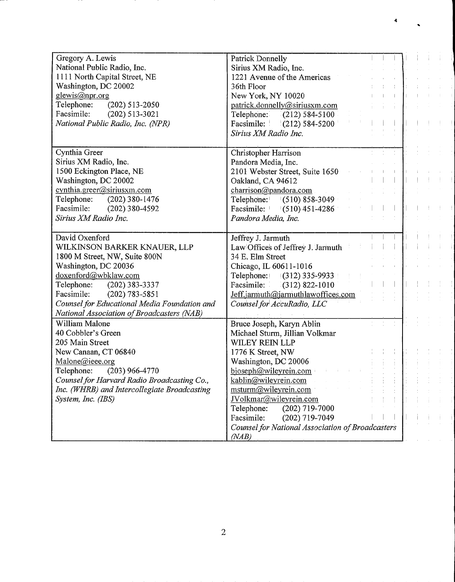| Gregory A. Lewis<br>National Public Radio, Inc.<br>1111 North Capital Street, NE<br>Washington, DC 20002<br>glewis@npr.org<br>Telephone:<br>$(202)$ 513-2050<br>Facsimile:<br>$(202)$ 513-3021<br>National Public Radio, Inc. (NPR)                                                          | Patrick Donnelly<br>Sirius XM Radio, Inc.<br>1221 Avenue of the Americas<br>36th Floor<br>New York, NY 10020<br>patrick.donnelly@siriusxm.com<br>Telephone:<br>$(212)$ 584-5100<br>Facsimile:   (212) 584-5200<br>Sirius XM Radio Inc.                                                                                                                         |  |
|----------------------------------------------------------------------------------------------------------------------------------------------------------------------------------------------------------------------------------------------------------------------------------------------|----------------------------------------------------------------------------------------------------------------------------------------------------------------------------------------------------------------------------------------------------------------------------------------------------------------------------------------------------------------|--|
| Cynthia Greer<br>Sirius XM Radio, Inc.<br>1500 Eckington Place, NE<br>Washington, DC 20002<br>cynthia.greer@siriusxm.com<br>Telephone: (202) 380-1476<br>Facsimile:<br>(202) 380-4592<br>Sirius XM Radio Inc.                                                                                | Christopher Harrison<br>Pandora Media, Inc.<br>2101 Webster Street, Suite 1650<br>Oakland, CA 94612<br>charrison@pandora.com<br>Telephone: $(510) 858-3049$<br>Facsimile: $(510)$ 451-4286<br>Pandora Media, Inc.                                                                                                                                              |  |
| David Oxenford<br>WILKINSON BARKER KNAUER, LLP<br>1800 M Street, NW, Suite 800N<br>Washington, DC 20036<br>doxenford@wbklaw.com<br>Telephone: (202) 383-3337<br>$(202)$ 783-5851<br>Facsimile:<br>Counsel for Educational Media Foundation and<br>National Association of Broadcasters (NAB) | Jeffrey J. Jarmuth<br>Law Offices of Jeffrey J. Jarmuth<br>34 E. Elm Street<br>Chicago, IL 60611-1016<br>Telephone: (312) 335-9933<br>Facsimile: (312) 822-1010<br>Jeff.jarmuth@jarmuthlawoffices.com<br>Counsel for AccuRadio, LLC                                                                                                                            |  |
| William Malone<br>40 Cobbler's Green<br>205 Main Street<br>New Canaan, CT 06840<br>Malone@ieee.org<br>Telephone:<br>$(203)$ 966-4770<br>Counsel for Harvard Radio Broadcasting Co.,<br>Inc. (WHRB) and Intercollegiate Broadcasting<br>System, Inc. (IBS)                                    | Bruce Joseph, Karyn Ablin<br>Michael Sturm, Jillian Volkmar<br>WILEY REIN LLP<br>1776 K Street, NW<br>Washington, DC 20006<br>bjoseph@wileyrein.com<br>kablin@wileyrein.com<br>msturm@wileyrein.com<br>JVolkmar@wileyrein.com<br>Telephone:<br>$(202)$ 719-7000<br>Facsimile:<br>$(202)$ 719-7049<br>Counsel for National Association of Broadcasters<br>(NAB) |  |

Ķ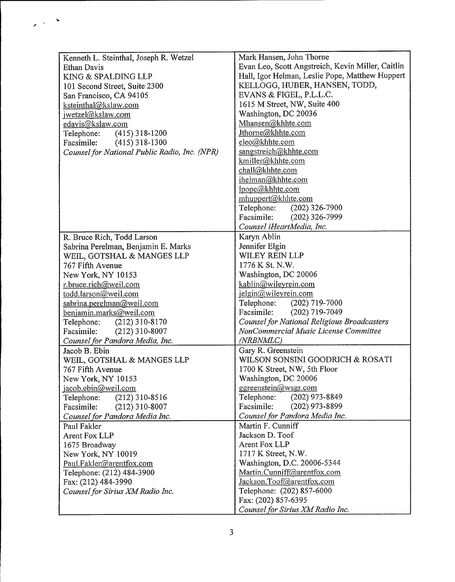| Kenneth L. Steinthal, Joseph R. Wetzel        | Mark Hansen, John Thorne                           |
|-----------------------------------------------|----------------------------------------------------|
| Ethan Davis                                   | Evan Leo, Scott Angstreich, Kevin Miller, Caitlin  |
| KING & SPALDING LLP                           | Hall, Igor Helman, Leslie Pope, Matthew Huppert    |
| 101 Second Street, Suite 2300                 | KELLOGG, HUBER, HANSEN, TODD,                      |
| San Francisco, CA 94105                       | EVANS & FIGEL, P.L.L.C.                            |
| ksteinthal@kslaw.com                          | 1615 M Street, NW, Suite 400                       |
| jwetzel@kslaw.com                             | Washington, DC 20036                               |
| edavis@kslaw.com                              | Mhansen@khhte.com                                  |
| Telephone: (415) 318-1200                     | Jthorne@khhte.com                                  |
| Facsimile:<br>$(415)$ 318-1300                | eleo@khhte.com                                     |
| Counsel for National Public Radio, Inc. (NPR) | sangstreich@khhte.com                              |
|                                               | kmiller@khhte.com                                  |
|                                               | chall@khhte.com                                    |
|                                               | ihelman@khhte.com                                  |
|                                               | lpope@khhte.com                                    |
|                                               | mhuppert@khhte.com                                 |
|                                               | Telephone: (202) 326-7900                          |
|                                               | Facsimile: (202) 326-7999                          |
|                                               | Counsel iHeartMedia, Inc.                          |
|                                               | Karyn Ablin                                        |
| R. Bruce Rich, Todd Larson                    | Jennifer Elgin                                     |
| Sabrina Perelman, Benjamin E. Marks           | WILEY REIN LLP                                     |
| WEIL, GOTSHAL & MANGES LLP                    |                                                    |
| 767 Fifth Avenue                              | 1776 K St. N.W.                                    |
| New York, NY 10153                            | Washington, DC 20006                               |
| r.bruce.rich@weil.com                         | kablin@wileyrein.com                               |
| todd.larson@weil.com                          | jelgin@wileyrein.com                               |
| sabrina.perelman@weil.com                     | Telephone: (202) 719-7000                          |
| benjamin.marks@weil.com                       | Facsimile: (202) 719-7049                          |
| Telephone:<br>$(212)$ 310-8170                | <b>Counsel for National Religious Broadcasters</b> |
| Facsimile:<br>$(212)$ 310-8007                | NonCommercial Music License Committee              |
| Counsel for Pandora Media, Inc.               | (NRBNMLC)                                          |
| Jacob B. Ebin                                 | Gary R. Greenstein                                 |
| WEIL, GOTSHAL & MANGES LLP                    | WILSON SONSINI GOODRICH & ROSATI                   |
| 767 Fifth Avenue                              | 1700 K Street, NW, 5th Floor                       |
| New York, NY 10153                            | Washington, DC 20006                               |
| jacob.ebin@weil.com                           | ggreenstein@wsgr.com                               |
| Telephone:<br>$(212)$ 310-8516                | Telephone:<br>$(202)$ 973-8849                     |
| Facsimile:<br>$(212)$ 310-8007                | Facsimile:<br>$(202)$ 973-8899                     |
| Counsel for Pandora Media Inc.                | Counsel for Pandora Media Inc.                     |
| Paul Fakler                                   | Martin F. Cunniff                                  |
| Arent Fox LLP                                 | Jackson D. Toof                                    |
| 1675 Broadway                                 | Arent Fox LLP                                      |
| New York, NY 10019                            | 1717 K Street, N.W.                                |
| Paul.Fakler@arentfox.com                      | Washington, D.C. 20006-5344                        |
| Telephone: (212) 484-3900                     | Martin.Cunniff@arentfox.com                        |
| Fax: (212) 484-3990                           | Jackson.Toof@arentfox.com                          |
| Counsel for Sirius XM Radio Inc.              | Telephone: (202) 857-6000                          |
|                                               | Fax: (202) 857-6395                                |
|                                               | Counsel for Sirius XM Radio Inc.                   |

 $\frac{1}{2} \left( \frac{1}{2} \right)^{\frac{1}{2}}$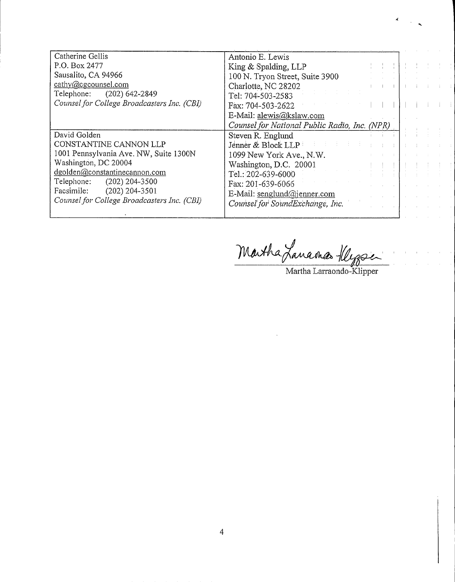| Antonio E. Lewis  |                                                                                                                                                                                                                                                                                                                                               |                                               |
|-------------------|-----------------------------------------------------------------------------------------------------------------------------------------------------------------------------------------------------------------------------------------------------------------------------------------------------------------------------------------------|-----------------------------------------------|
|                   |                                                                                                                                                                                                                                                                                                                                               |                                               |
|                   |                                                                                                                                                                                                                                                                                                                                               |                                               |
|                   |                                                                                                                                                                                                                                                                                                                                               |                                               |
|                   |                                                                                                                                                                                                                                                                                                                                               |                                               |
| Fax: 704-503-2622 |                                                                                                                                                                                                                                                                                                                                               |                                               |
|                   |                                                                                                                                                                                                                                                                                                                                               |                                               |
|                   |                                                                                                                                                                                                                                                                                                                                               |                                               |
|                   |                                                                                                                                                                                                                                                                                                                                               |                                               |
|                   |                                                                                                                                                                                                                                                                                                                                               |                                               |
|                   |                                                                                                                                                                                                                                                                                                                                               |                                               |
|                   |                                                                                                                                                                                                                                                                                                                                               |                                               |
|                   |                                                                                                                                                                                                                                                                                                                                               |                                               |
|                   |                                                                                                                                                                                                                                                                                                                                               |                                               |
|                   |                                                                                                                                                                                                                                                                                                                                               |                                               |
|                   |                                                                                                                                                                                                                                                                                                                                               |                                               |
|                   |                                                                                                                                                                                                                                                                                                                                               |                                               |
|                   | King & Spalding, LLP<br>100 N. Tryon Street, Suite 3900<br>Charlotte, NC 28202<br>Tel: 704-503-2583<br>E-Mail: alewis@kslaw.com<br>Steven R. Englund<br>Jenner & Block LLP<br>1099 New York Ave., N.W.<br>Washington, D.C. 20001<br>Tel.: 202-639-6000<br>Fax: 201-639-6066<br>E-Mail: senglund@jenner.com<br>Counsel for SoundExchange, Inc. | Counsel for National Public Radio, Inc. (NPR) |

'uk.448

Martha Larraondo-Klipper

÷,